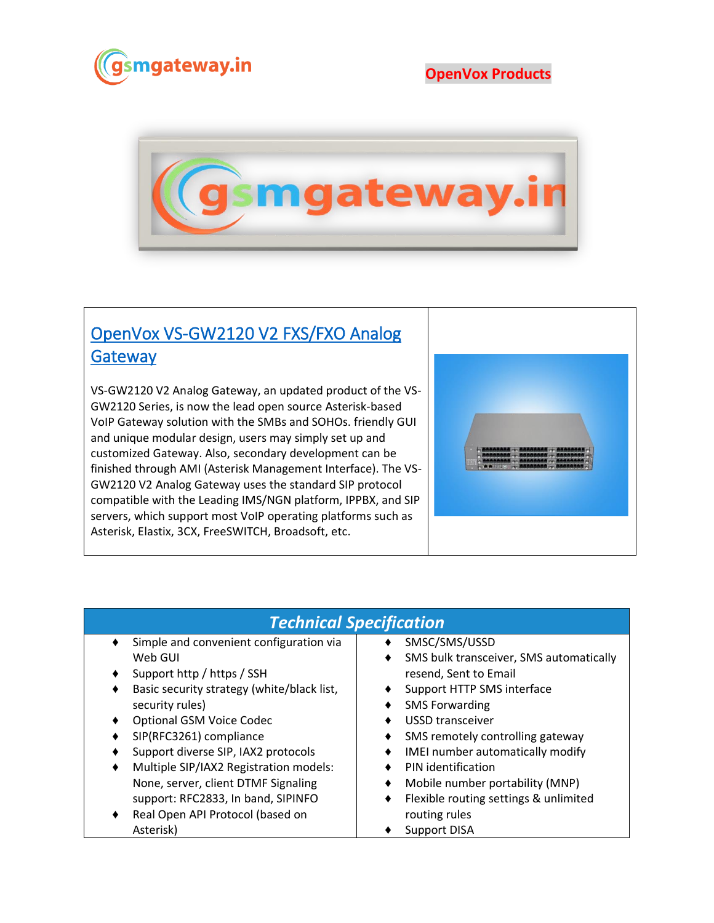

## **OpenVox Products**



## [OpenVox VS-GW2120 V2 FXS/FXO Analog](https://www.gsmgateway.in/openvox/VS-GW2120-V2-FXSFXO-Analog-Gateway.html)  **Gateway**

VS-GW2120 V2 Analog Gateway, an updated product of the VS-GW2120 Series, is now the lead open source Asterisk-based VoIP Gateway solution with the SMBs and SOHOs. friendly GUI and unique modular design, users may simply set up and customized Gateway. Also, secondary development can be finished through AMI (Asterisk Management Interface). The VS-GW2120 V2 Analog Gateway uses the standard SIP protocol compatible with the Leading IMS/NGN platform, IPPBX, and SIP servers, which support most VoIP operating platforms such as Asterisk, Elastix, 3CX, FreeSWITCH, Broadsoft, etc.



## *Technical Specification*

- Simple and convenient configuration via Web GUI
- ♦ Support http / https / SSH
- ♦ Basic security strategy (white/black list, security rules)
- ♦ Optional GSM Voice Codec
- ♦ SIP(RFC3261) compliance
- Support diverse SIP, IAX2 protocols
- Multiple SIP/IAX2 Registration models: None, server, client DTMF Signaling support: RFC2833, In band, SIPINFO
- Real Open API Protocol (based on Asterisk)
- ♦ SMSC/SMS/USSD
- ♦ SMS bulk transceiver, SMS automatically resend, Sent to Email
- ♦ Support HTTP SMS interface
- ♦ SMS Forwarding
- ♦ USSD transceiver
- ♦ SMS remotely controlling gateway
- ♦ IMEI number automatically modify
- ♦ PIN identification
- ♦ Mobile number portability (MNP)
- ♦ Flexible routing settings & unlimited routing rules
- ♦ Support DISA